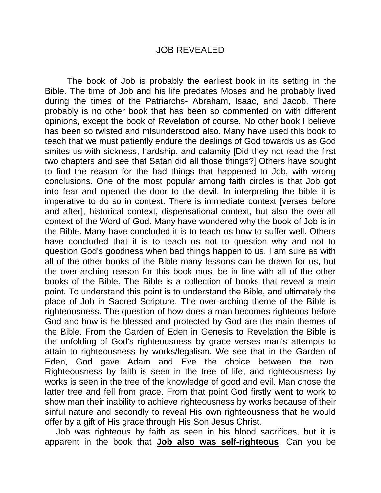#### JOB REVEALED

The book of Job is probably the earliest book in its setting in the Bible. The time of Job and his life predates Moses and he probably lived during the times of the Patriarchs- Abraham, Isaac, and Jacob. There probably is no other book that has been so commented on with different opinions, except the book of Revelation of course. No other book I believe has been so twisted and misunderstood also. Many have used this book to teach that we must patiently endure the dealings of God towards us as God smites us with sickness, hardship, and calamity [Did they not read the first two chapters and see that Satan did all those things?] Others have sought to find the reason for the bad things that happened to Job, with wrong conclusions. One of the most popular among faith circles is that Job got into fear and opened the door to the devil. In interpreting the bible it is imperative to do so in context. There is immediate context [verses before and after], historical context, dispensational context, but also the over-all context of the Word of God. Many have wondered why the book of Job is in the Bible. Many have concluded it is to teach us how to suffer well. Others have concluded that it is to teach us not to question why and not to question God's goodness when bad things happen to us. I am sure as with all of the other books of the Bible many lessons can be drawn for us, but the over-arching reason for this book must be in line with all of the other books of the Bible. The Bible is a collection of books that reveal a main point. To understand this point is to understand the Bible, and ultimately the place of Job in Sacred Scripture. The over-arching theme of the Bible is righteousness. The question of how does a man becomes righteous before God and how is he blessed and protected by God are the main themes of the Bible. From the Garden of Eden in Genesis to Revelation the Bible is the unfolding of God's righteousness by grace verses man's attempts to attain to righteousness by works/legalism. We see that in the Garden of Eden, God gave Adam and Eve the choice between the two. Righteousness by faith is seen in the tree of life, and righteousness by works is seen in the tree of the knowledge of good and evil. Man chose the latter tree and fell from grace. From that point God firstly went to work to show man their inability to achieve righteousness by works because of their sinful nature and secondly to reveal His own righteousness that he would offer by a gift of His grace through His Son Jesus Christ.

Job was righteous by faith as seen in his blood sacrifices, but it is apparent in the book that **Job also was self-righteous**. Can you be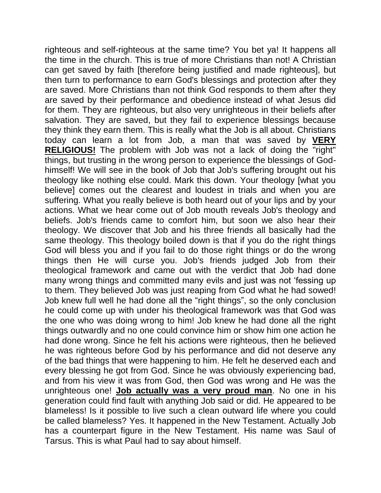righteous and self-righteous at the same time? You bet ya! It happens all the time in the church. This is true of more Christians than not! A Christian can get saved by faith [therefore being justified and made righteous], but then turn to performance to earn God's blessings and protection after they are saved. More Christians than not think God responds to them after they are saved by their performance and obedience instead of what Jesus did for them. They are righteous, but also very unrighteous in their beliefs after salvation. They are saved, but they fail to experience blessings because they think they earn them. This is really what the Job is all about. Christians today can learn a lot from Job, a man that was saved by **VERY RELIGIOUS!** The problem with Job was not a lack of doing the "right" things, but trusting in the wrong person to experience the blessings of Godhimself! We will see in the book of Job that Job's suffering brought out his theology like nothing else could. Mark this down. Your theology [what you believe] comes out the clearest and loudest in trials and when you are suffering. What you really believe is both heard out of your lips and by your actions. What we hear come out of Job mouth reveals Job's theology and beliefs. Job's friends came to comfort him, but soon we also hear their theology. We discover that Job and his three friends all basically had the same theology. This theology boiled down is that if you do the right things God will bless you and if you fail to do those right things or do the wrong things then He will curse you. Job's friends judged Job from their theological framework and came out with the verdict that Job had done many wrong things and committed many evils and just was not "fessing up to them. They believed Job was just reaping from God what he had sowed! Job knew full well he had done all the "right things", so the only conclusion he could come up with under his theological framework was that God was the one who was doing wrong to him! Job knew he had done all the right things outwardly and no one could convince him or show him one action he had done wrong. Since he felt his actions were righteous, then he believed he was righteous before God by his performance and did not deserve any of the bad things that were happening to him. He felt he deserved each and every blessing he got from God. Since he was obviously experiencing bad, and from his view it was from God, then God was wrong and He was the unrighteous one! **Job actually was a very proud man**. No one in his generation could find fault with anything Job said or did. He appeared to be blameless! Is it possible to live such a clean outward life where you could be called blameless? Yes. It happened in the New Testament. Actually Job has a counterpart figure in the New Testament. His name was Saul of Tarsus. This is what Paul had to say about himself.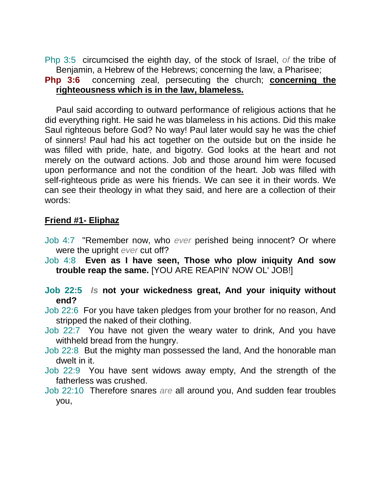Php 3:5 circumcised the eighth day, of the stock of Israel, *of* the tribe of Benjamin, a Hebrew of the Hebrews; concerning the law, a Pharisee;

# **Php 3:6** concerning zeal, persecuting the church; **concerning the righteousness which is in the law, blameless.**

Paul said according to outward performance of religious actions that he did everything right. He said he was blameless in his actions. Did this make Saul righteous before God? No way! Paul later would say he was the chief of sinners! Paul had his act together on the outside but on the inside he was filled with pride, hate, and bigotry. God looks at the heart and not merely on the outward actions. Job and those around him were focused upon performance and not the condition of the heart. Job was filled with self-righteous pride as were his friends. We can see it in their words. We can see their theology in what they said, and here are a collection of their words:

## **Friend #1- Eliphaz**

- Job 4:7 "Remember now, who *ever* perished being innocent? Or where were the upright *ever* cut off?
- Job 4:8 **Even as I have seen, Those who plow iniquity And sow trouble reap the same.** [YOU ARE REAPIN' NOW OL' JOB!]
- **Job 22:5** *Is* **not your wickedness great, And your iniquity without end?**
- Job 22:6 For you have taken pledges from your brother for no reason, And stripped the naked of their clothing.
- Job 22:7 You have not given the weary water to drink, And you have withheld bread from the hungry.
- Job 22:8 But the mighty man possessed the land, And the honorable man dwelt in it.
- Job 22:9 You have sent widows away empty, And the strength of the fatherless was crushed.
- Job 22:10 Therefore snares *are* all around you, And sudden fear troubles you,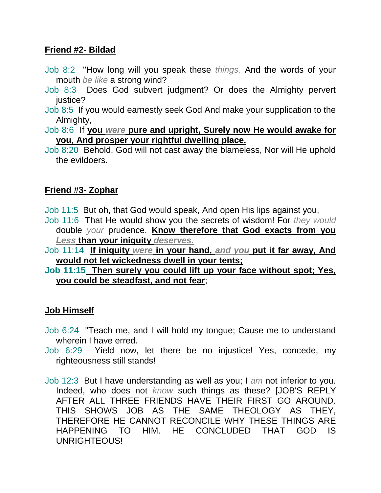# **Friend #2- Bildad**

- Job 8:2 "How long will you speak these *things,* And the words of your mouth *be like* a strong wind?
- Job 8:3 Does God subvert judgment? Or does the Almighty pervert justice?
- Job 8:5 If you would earnestly seek God And make your supplication to the Almighty,

Job 8:6 If **you** *were* **pure and upright, Surely now He would awake for you, And prosper your rightful dwelling place.** 

Job 8:20 Behold, God will not cast away the blameless, Nor will He uphold the evildoers.

# **Friend #3- Zophar**

Job 11:5 But oh, that God would speak, And open His lips against you,

- Job 11:6 That He would show you the secrets of wisdom! For *they would* double *your* prudence. **Know therefore that God exacts from you**  *Less* **than your iniquity** *deserves.*
- Job 11:14 **If iniquity** *were* **in your hand,** *and you* **put it far away, And would not let wickedness dwell in your tents;**
- **Job 11:15 Then surely you could lift up your face without spot; Yes, you could be steadfast, and not fear**;

# **Job Himself**

- Job 6:24 "Teach me, and I will hold my tongue; Cause me to understand wherein I have erred.
- Job 6:29 Yield now, let there be no injustice! Yes, concede, my righteousness still stands!
- Job 12:3 But I have understanding as well as you; I *am* not inferior to you. Indeed, who does not *know* such things as these? [JOB'S REPLY AFTER ALL THREE FRIENDS HAVE THEIR FIRST GO AROUND. THIS SHOWS JOB AS THE SAME THEOLOGY AS THEY, THEREFORE HE CANNOT RECONCILE WHY THESE THINGS ARE HAPPENING TO HIM. HE CONCLUDED THAT GOD IS UNRIGHTEOUS!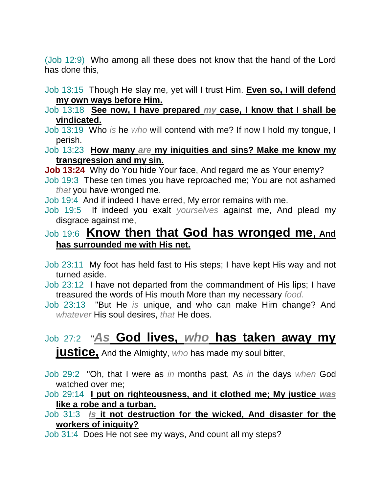(Job 12:9) Who among all these does not know that the hand of the Lord has done this,

Job 13:15 Though He slay me, yet will I trust Him. **Even so, I will defend my own ways before Him.** 

## Job 13:18 **See now, I have prepared** *my* **case, I know that I shall be vindicated.**

- Job 13:19 Who *is* he *who* will contend with me? If now I hold my tongue, I perish.
- Job 13:23 **How many** *are* **my iniquities and sins? Make me know my transgression and my sin.**

**Job 13:24** Why do You hide Your face, And regard me as Your enemy?

Job 19:3 These ten times you have reproached me; You are not ashamed *that* you have wronged me.

Job 19:4 And if indeed I have erred, My error remains with me.

Job 19:5 If indeed you exalt *yourselves* against me, And plead my disgrace against me,

# Job 19:6 **Know then that God has wronged me, And has surrounded me with His net.**

- Job 23:11 My foot has held fast to His steps; I have kept His way and not turned aside.
- Job 23:12 I have not departed from the commandment of His lips; I have treasured the words of His mouth More than my necessary *food.*
- Job 23:13 "But He *is* unique, and who can make Him change? And *whatever* His soul desires, *that* He does.

# Job 27:2 "*As* **God lives,** *who* **has taken away my**

**justice,** And the Almighty, *who* has made my soul bitter,

Job 29:2 "Oh, that I were as *in* months past, As *in* the days *when* God watched over me;

Job 29:14 **I put on righteousness, and it clothed me; My justice** *was* **like a robe and a turban.** 

Job 31:3 *Is* **it not destruction for the wicked, And disaster for the workers of iniquity?** 

Job 31:4 Does He not see my ways, And count all my steps?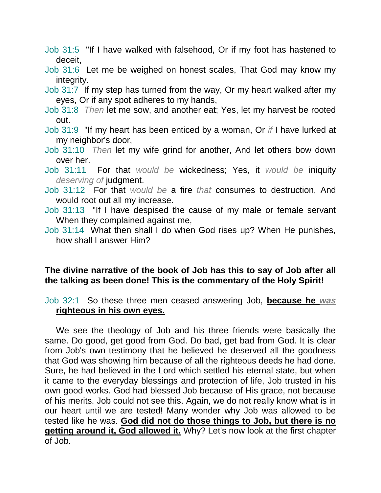- Job 31:5 "If I have walked with falsehood, Or if my foot has hastened to deceit,
- Job 31:6 Let me be weighed on honest scales, That God may know my integrity.
- Job 31:7 If my step has turned from the way, Or my heart walked after my eyes, Or if any spot adheres to my hands,
- Job 31:8 *Then* let me sow, and another eat; Yes, let my harvest be rooted out.
- Job 31:9 "If my heart has been enticed by a woman, Or *if* I have lurked at my neighbor's door,
- Job 31:10 *Then* let my wife grind for another, And let others bow down over her.
- Job 31:11 For that *would be* wickedness; Yes, it *would be* iniquity *deserving of* judgment.
- Job 31:12 For that *would be* a fire *that* consumes to destruction, And would root out all my increase.
- Job 31:13 "If I have despised the cause of my male or female servant When they complained against me,
- Job 31:14 What then shall I do when God rises up? When He punishes, how shall I answer Him?

# **The divine narrative of the book of Job has this to say of Job after all the talking as been done! This is the commentary of the Holy Spirit!**

Job 32:1 So these three men ceased answering Job, **because he** *was* **righteous in his own eyes.** 

We see the theology of Job and his three friends were basically the same. Do good, get good from God. Do bad, get bad from God. It is clear from Job's own testimony that he believed he deserved all the goodness that God was showing him because of all the righteous deeds he had done. Sure, he had believed in the Lord which settled his eternal state, but when it came to the everyday blessings and protection of life, Job trusted in his own good works. God had blessed Job because of His grace, not because of his merits. Job could not see this. Again, we do not really know what is in our heart until we are tested! Many wonder why Job was allowed to be tested like he was. **God did not do those things to Job, but there is no getting around it, God allowed it.** Why? Let's now look at the first chapter of Job.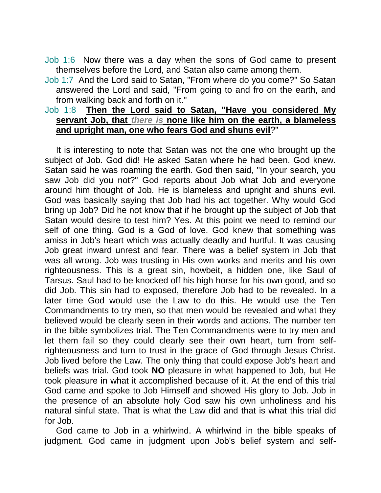- Job 1:6 Now there was a day when the sons of God came to present themselves before the Lord, and Satan also came among them.
- Job 1:7 And the Lord said to Satan, "From where do you come?" So Satan answered the Lord and said, "From going to and fro on the earth, and from walking back and forth on it."

## Job 1:8 **Then the Lord said to Satan, "Have you considered My servant Job, that** *there is* **none like him on the earth, a blameless and upright man, one who fears God and shuns evil**?"

It is interesting to note that Satan was not the one who brought up the subject of Job. God did! He asked Satan where he had been. God knew. Satan said he was roaming the earth. God then said, "In your search, you saw Job did you not?" God reports about Job what Job and everyone around him thought of Job. He is blameless and upright and shuns evil. God was basically saying that Job had his act together. Why would God bring up Job? Did he not know that if he brought up the subject of Job that Satan would desire to test him? Yes. At this point we need to remind our self of one thing. God is a God of love. God knew that something was amiss in Job's heart which was actually deadly and hurtful. It was causing Job great inward unrest and fear. There was a belief system in Job that was all wrong. Job was trusting in His own works and merits and his own righteousness. This is a great sin, howbeit, a hidden one, like Saul of Tarsus. Saul had to be knocked off his high horse for his own good, and so did Job. This sin had to exposed, therefore Job had to be revealed. In a later time God would use the Law to do this. He would use the Ten Commandments to try men, so that men would be revealed and what they believed would be clearly seen in their words and actions. The number ten in the bible symbolizes trial. The Ten Commandments were to try men and let them fail so they could clearly see their own heart, turn from selfrighteousness and turn to trust in the grace of God through Jesus Christ. Job lived before the Law. The only thing that could expose Job's heart and beliefs was trial. God took **NO** pleasure in what happened to Job, but He took pleasure in what it accomplished because of it. At the end of this trial God came and spoke to Job Himself and showed His glory to Job. Job in the presence of an absolute holy God saw his own unholiness and his natural sinful state. That is what the Law did and that is what this trial did for Job.

God came to Job in a whirlwind. A whirlwind in the bible speaks of judgment. God came in judgment upon Job's belief system and self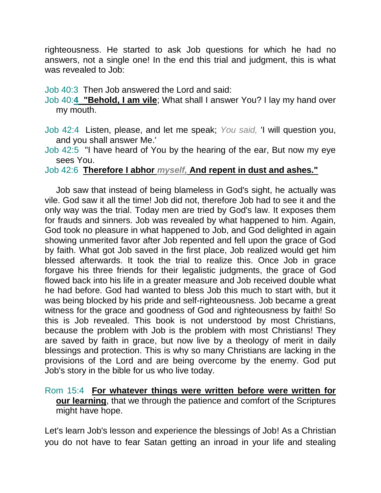righteousness. He started to ask Job questions for which he had no answers, not a single one! In the end this trial and judgment, this is what was revealed to Job:

## Job 40:3 Then Job answered the Lord and said:

Job 40:**4 "Behold, I am vile**; What shall I answer You? I lay my hand over my mouth.

Job 42:4 Listen, please, and let me speak; *You said,* 'I will question you, and you shall answer Me.'

Job 42:5 "I have heard of You by the hearing of the ear, But now my eye sees You.

## Job 42:6 **Therefore I abhor** *myself,* **And repent in dust and ashes."**

Job saw that instead of being blameless in God's sight, he actually was vile. God saw it all the time! Job did not, therefore Job had to see it and the only way was the trial. Today men are tried by God's law. It exposes them for frauds and sinners. Job was revealed by what happened to him. Again, God took no pleasure in what happened to Job, and God delighted in again showing unmerited favor after Job repented and fell upon the grace of God by faith. What got Job saved in the first place, Job realized would get him blessed afterwards. It took the trial to realize this. Once Job in grace forgave his three friends for their legalistic judgments, the grace of God flowed back into his life in a greater measure and Job received double what he had before. God had wanted to bless Job this much to start with, but it was being blocked by his pride and self-righteousness. Job became a great witness for the grace and goodness of God and righteousness by faith! So this is Job revealed. This book is not understood by most Christians, because the problem with Job is the problem with most Christians! They are saved by faith in grace, but now live by a theology of merit in daily blessings and protection. This is why so many Christians are lacking in the provisions of the Lord and are being overcome by the enemy. God put Job's story in the bible for us who live today.

## Rom 15:4 **For whatever things were written before were written for our learning**, that we through the patience and comfort of the Scriptures might have hope.

Let's learn Job's lesson and experience the blessings of Job! As a Christian you do not have to fear Satan getting an inroad in your life and stealing